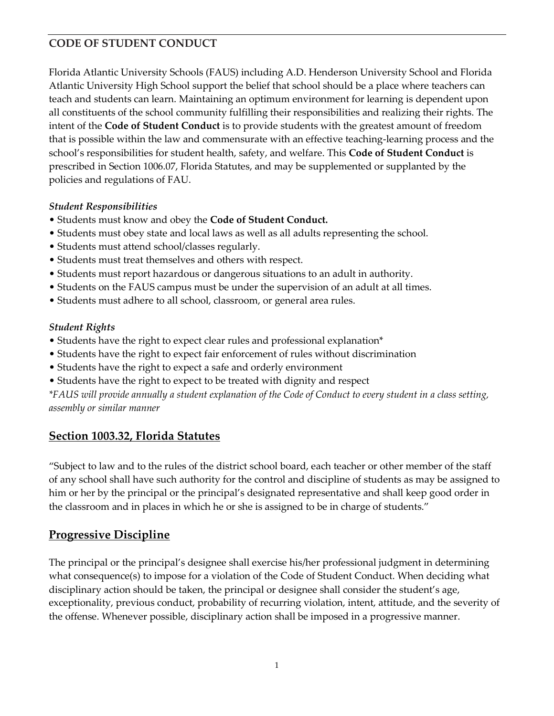Florida Atlantic University Schools (FAUS) including A.D. Henderson University School and Florida Atlantic University High School support the belief that school should be a place where teachers can teach and students can learn. Maintaining an optimum environment for learning is dependent upon all constituents of the school community fulfilling their responsibilities and realizing their rights. The intent of the **Code of Student Conduct** is to provide students with the greatest amount of freedom that is possible within the law and commensurate with an effective teaching-learning process and the school's responsibilities for student health, safety, and welfare. This **Code of Student Conduct** is prescribed in Section 1006.07, Florida Statutes, and may be supplemented or supplanted by the policies and regulations of FAU.

#### *Student Responsibilities*

- Students must know and obey the **Code of Student Conduct.**
- Students must obey state and local laws as well as all adults representing the school.
- Students must attend school/classes regularly.
- Students must treat themselves and others with respect.
- Students must report hazardous or dangerous situations to an adult in authority.
- Students on the FAUS campus must be under the supervision of an adult at all times.
- Students must adhere to all school, classroom, or general area rules.

#### *Student Rights*

- Students have the right to expect clear rules and professional explanation\*
- Students have the right to expect fair enforcement of rules without discrimination
- Students have the right to expect a safe and orderly environment
- Students have the right to expect to be treated with dignity and respect

*\*FAUS will provide annually a student explanation of the Code of Conduct to every student in a class setting, assembly or similar manner* 

## **Section 1003.32, Florida Statutes**

"Subject to law and to the rules of the district school board, each teacher or other member of the staff of any school shall have such authority for the control and discipline of students as may be assigned to him or her by the principal or the principal's designated representative and shall keep good order in the classroom and in places in which he or she is assigned to be in charge of students."

# **Progressive Discipline**

The principal or the principal's designee shall exercise his/her professional judgment in determining what consequence(s) to impose for a violation of the Code of Student Conduct. When deciding what disciplinary action should be taken, the principal or designee shall consider the student's age, exceptionality, previous conduct, probability of recurring violation, intent, attitude, and the severity of the offense. Whenever possible, disciplinary action shall be imposed in a progressive manner.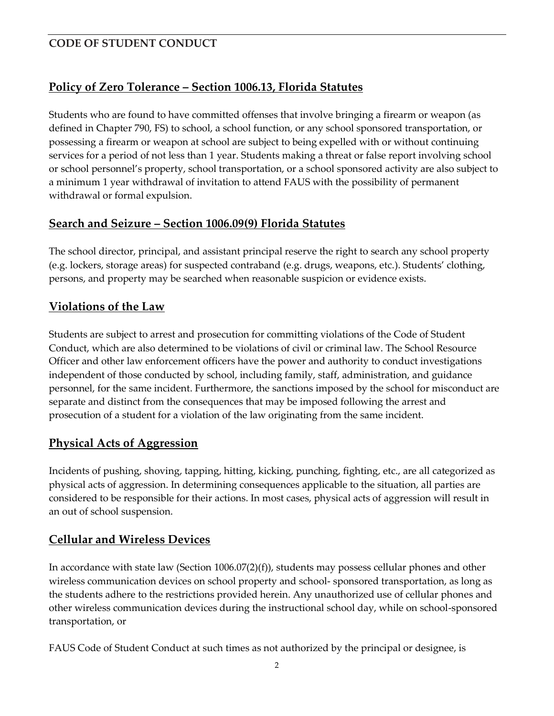# **Policy of Zero Tolerance – Section 1006.13, Florida Statutes**

Students who are found to have committed offenses that involve bringing a firearm or weapon (as defined in Chapter 790, FS) to school, a school function, or any school sponsored transportation, or possessing a firearm or weapon at school are subject to being expelled with or without continuing services for a period of not less than 1 year. Students making a threat or false report involving school or school personnel's property, school transportation, or a school sponsored activity are also subject to a minimum 1 year withdrawal of invitation to attend FAUS with the possibility of permanent withdrawal or formal expulsion.

## **Search and Seizure – Section 1006.09(9) Florida Statutes**

The school director, principal, and assistant principal reserve the right to search any school property (e.g. lockers, storage areas) for suspected contraband (e.g. drugs, weapons, etc.). Students' clothing, persons, and property may be searched when reasonable suspicion or evidence exists.

## **Violations of the Law**

Students are subject to arrest and prosecution for committing violations of the Code of Student Conduct, which are also determined to be violations of civil or criminal law. The School Resource Officer and other law enforcement officers have the power and authority to conduct investigations independent of those conducted by school, including family, staff, administration, and guidance personnel, for the same incident. Furthermore, the sanctions imposed by the school for misconduct are separate and distinct from the consequences that may be imposed following the arrest and prosecution of a student for a violation of the law originating from the same incident.

# **Physical Acts of Aggression**

Incidents of pushing, shoving, tapping, hitting, kicking, punching, fighting, etc., are all categorized as physical acts of aggression. In determining consequences applicable to the situation, all parties are considered to be responsible for their actions. In most cases, physical acts of aggression will result in an out of school suspension.

# **Cellular and Wireless Devices**

In accordance with state law (Section 1006.07(2)(f)), students may possess cellular phones and other wireless communication devices on school property and school- sponsored transportation, as long as the students adhere to the restrictions provided herein. Any unauthorized use of cellular phones and other wireless communication devices during the instructional school day, while on school-sponsored transportation, or

FAUS Code of Student Conduct at such times as not authorized by the principal or designee, is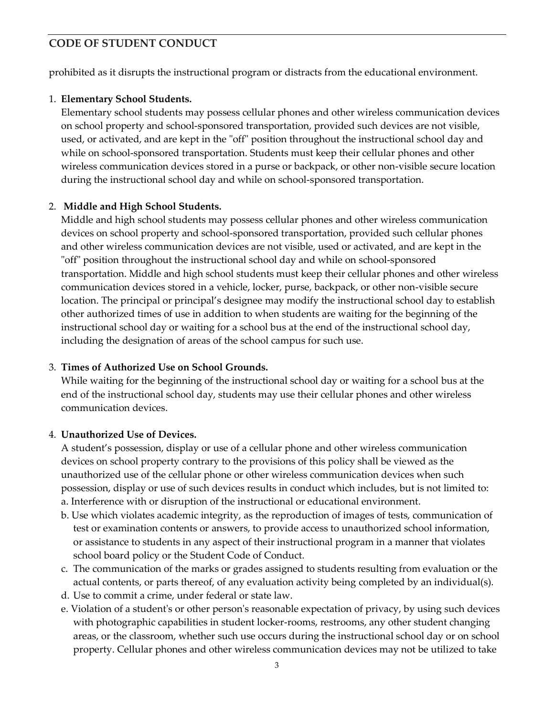prohibited as it disrupts the instructional program or distracts from the educational environment.

#### 1. **Elementary School Students.**

Elementary school students may possess cellular phones and other wireless communication devices on school property and school-sponsored transportation, provided such devices are not visible, used, or activated, and are kept in the "off" position throughout the instructional school day and while on school-sponsored transportation. Students must keep their cellular phones and other wireless communication devices stored in a purse or backpack, or other non-visible secure location during the instructional school day and while on school-sponsored transportation.

#### 2. **Middle and High School Students.**

Middle and high school students may possess cellular phones and other wireless communication devices on school property and school-sponsored transportation, provided such cellular phones and other wireless communication devices are not visible, used or activated, and are kept in the "off" position throughout the instructional school day and while on school-sponsored transportation. Middle and high school students must keep their cellular phones and other wireless communication devices stored in a vehicle, locker, purse, backpack, or other non-visible secure location. The principal or principal's designee may modify the instructional school day to establish other authorized times of use in addition to when students are waiting for the beginning of the instructional school day or waiting for a school bus at the end of the instructional school day, including the designation of areas of the school campus for such use.

#### 3. **Times of Authorized Use on School Grounds.**

While waiting for the beginning of the instructional school day or waiting for a school bus at the end of the instructional school day, students may use their cellular phones and other wireless communication devices.

#### 4. **Unauthorized Use of Devices.**

A student's possession, display or use of a cellular phone and other wireless communication devices on school property contrary to the provisions of this policy shall be viewed as the unauthorized use of the cellular phone or other wireless communication devices when such possession, display or use of such devices results in conduct which includes, but is not limited to: a. Interference with or disruption of the instructional or educational environment.

- b. Use which violates academic integrity, as the reproduction of images of tests, communication of test or examination contents or answers, to provide access to unauthorized school information, or assistance to students in any aspect of their instructional program in a manner that violates school board policy or the Student Code of Conduct.
- c. The communication of the marks or grades assigned to students resulting from evaluation or the actual contents, or parts thereof, of any evaluation activity being completed by an individual(s).
- d. Use to commit a crime, under federal or state law.
- e. Violation of a student's or other person's reasonable expectation of privacy, by using such devices with photographic capabilities in student locker-rooms, restrooms, any other student changing areas, or the classroom, whether such use occurs during the instructional school day or on school property. Cellular phones and other wireless communication devices may not be utilized to take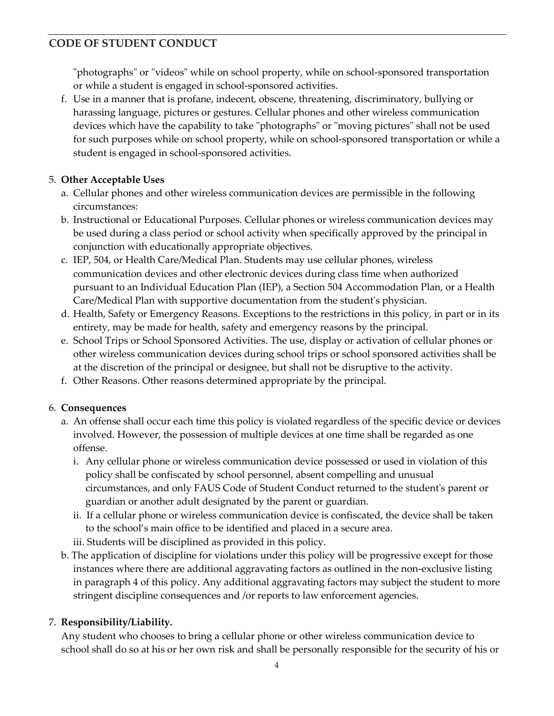"photographs" or "videos" while on school property, while on school-sponsored transportation or while a student is engaged in school-sponsored activities.

f. Use in a manner that is profane, indecent, obscene, threatening, discriminatory, bullying or harassing language, pictures or gestures. Cellular phones and other wireless communication devices which have the capability to take "photographs" or "moving pictures" shall not be used for such purposes while on school property, while on school-sponsored transportation or while a student is engaged in school-sponsored activities.

### 5. **Other Acceptable Uses**

- a. Cellular phones and other wireless communication devices are permissible in the following circumstances:
- b. Instructional or Educational Purposes. Cellular phones or wireless communication devices may be used during a class period or school activity when specifically approved by the principal in conjunction with educationally appropriate objectives.
- c. IEP, 504, or Health Care/Medical Plan. Students may use cellular phones, wireless communication devices and other electronic devices during class time when authorized pursuant to an Individual Education Plan (IEP), a Section 504 Accommodation Plan, or a Health Care/Medical Plan with supportive documentation from the student's physician.
- d. Health, Safety or Emergency Reasons. Exceptions to the restrictions in this policy, in part or in its entirety, may be made for health, safety and emergency reasons by the principal.
- e. School Trips or School Sponsored Activities. The use, display or activation of cellular phones or other wireless communication devices during school trips or school sponsored activities shall be at the discretion of the principal or designee, but shall not be disruptive to the activity.
- f. Other Reasons. Other reasons determined appropriate by the principal.

## 6. **Consequences**

- a. An offense shall occur each time this policy is violated regardless of the specific device or devices involved. However, the possession of multiple devices at one time shall be regarded as one offense.
	- i. Any cellular phone or wireless communication device possessed or used in violation of this policy shall be confiscated by school personnel, absent compelling and unusual circumstances, and only FAUS Code of Student Conduct returned to the student's parent or guardian or another adult designated by the parent or guardian.
	- ii. If a cellular phone or wireless communication device is confiscated, the device shall be taken to the school's main office to be identified and placed in a secure area.
	- iii. Students will be disciplined as provided in this policy.
- b. The application of discipline for violations under this policy will be progressive except for those instances where there are additional aggravating factors as outlined in the non-exclusive listing in paragraph 4 of this policy. Any additional aggravating factors may subject the student to more stringent discipline consequences and /or reports to law enforcement agencies.

## 7. **Responsibility/Liability.**

Any student who chooses to bring a cellular phone or other wireless communication device to school shall do so at his or her own risk and shall be personally responsible for the security of his or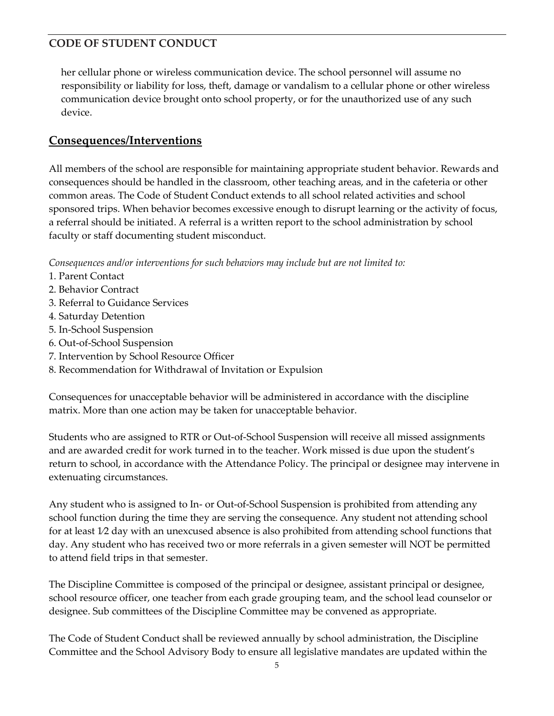her cellular phone or wireless communication device. The school personnel will assume no responsibility or liability for loss, theft, damage or vandalism to a cellular phone or other wireless communication device brought onto school property, or for the unauthorized use of any such device.

## **Consequences/Interventions**

All members of the school are responsible for maintaining appropriate student behavior. Rewards and consequences should be handled in the classroom, other teaching areas, and in the cafeteria or other common areas. The Code of Student Conduct extends to all school related activities and school sponsored trips. When behavior becomes excessive enough to disrupt learning or the activity of focus, a referral should be initiated. A referral is a written report to the school administration by school faculty or staff documenting student misconduct.

*Consequences and/or interventions for such behaviors may include but are not limited to:* 

- 1. Parent Contact
- 2. Behavior Contract
- 3. Referral to Guidance Services
- 4. Saturday Detention
- 5. In-School Suspension
- 6. Out-of-School Suspension
- 7. Intervention by School Resource Officer
- 8. Recommendation for Withdrawal of Invitation or Expulsion

Consequences for unacceptable behavior will be administered in accordance with the discipline matrix. More than one action may be taken for unacceptable behavior.

Students who are assigned to RTR or Out-of-School Suspension will receive all missed assignments and are awarded credit for work turned in to the teacher. Work missed is due upon the student's return to school, in accordance with the Attendance Policy. The principal or designee may intervene in extenuating circumstances.

Any student who is assigned to In- or Out-of-School Suspension is prohibited from attending any school function during the time they are serving the consequence. Any student not attending school for at least 1⁄2 day with an unexcused absence is also prohibited from attending school functions that day. Any student who has received two or more referrals in a given semester will NOT be permitted to attend field trips in that semester.

The Discipline Committee is composed of the principal or designee, assistant principal or designee, school resource officer, one teacher from each grade grouping team, and the school lead counselor or designee. Sub committees of the Discipline Committee may be convened as appropriate.

The Code of Student Conduct shall be reviewed annually by school administration, the Discipline Committee and the School Advisory Body to ensure all legislative mandates are updated within the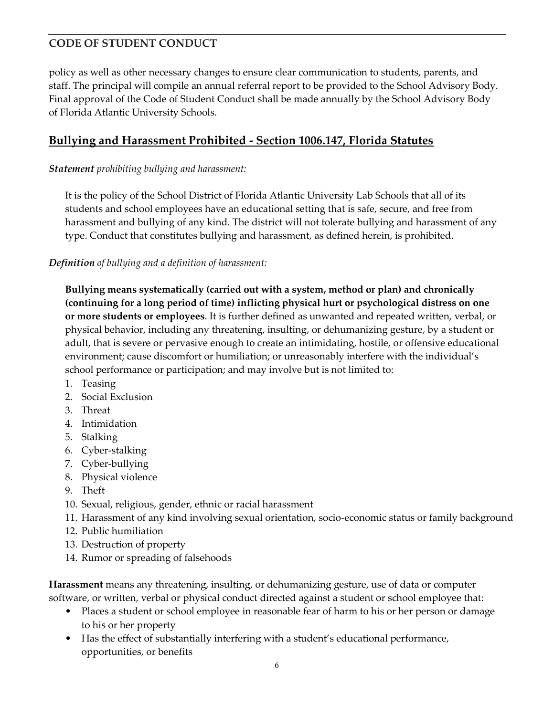policy as well as other necessary changes to ensure clear communication to students, parents, and staff. The principal will compile an annual referral report to be provided to the School Advisory Body. Final approval of the Code of Student Conduct shall be made annually by the School Advisory Body of Florida Atlantic University Schools.

## **Bullying and Harassment Prohibited - Section 1006.147, Florida Statutes**

#### *Statement prohibiting bullying and harassment:*

It is the policy of the School District of Florida Atlantic University Lab Schools that all of its students and school employees have an educational setting that is safe, secure, and free from harassment and bullying of any kind. The district will not tolerate bullying and harassment of any type. Conduct that constitutes bullying and harassment, as defined herein, is prohibited.

#### *Definition of bullying and a definition of harassment:*

**Bullying means systematically (carried out with a system, method or plan) and chronically (continuing for a long period of time) inflicting physical hurt or psychological distress on one or more students or employees**. It is further defined as unwanted and repeated written, verbal, or physical behavior, including any threatening, insulting, or dehumanizing gesture, by a student or adult, that is severe or pervasive enough to create an intimidating, hostile, or offensive educational environment; cause discomfort or humiliation; or unreasonably interfere with the individual's school performance or participation; and may involve but is not limited to:

- 1. Teasing
- 2. Social Exclusion
- 3. Threat
- 4. Intimidation
- 5. Stalking
- 6. Cyber-stalking
- 7. Cyber-bullying
- 8. Physical violence
- 9. Theft
- 10. Sexual, religious, gender, ethnic or racial harassment
- 11. Harassment of any kind involving sexual orientation, socio-economic status or family background
- 12. Public humiliation
- 13. Destruction of property
- 14. Rumor or spreading of falsehoods

**Harassment** means any threatening, insulting, or dehumanizing gesture, use of data or computer software, or written, verbal or physical conduct directed against a student or school employee that:

- Places a student or school employee in reasonable fear of harm to his or her person or damage to his or her property
- Has the effect of substantially interfering with a student's educational performance, opportunities, or benefits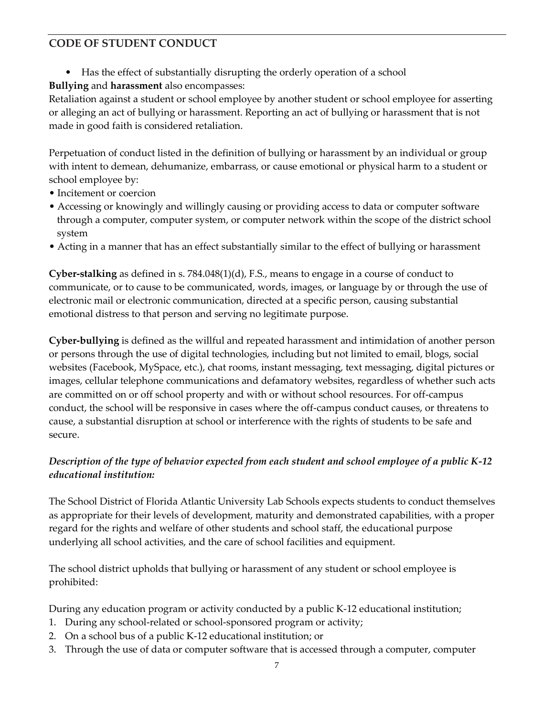• Has the effect of substantially disrupting the orderly operation of a school **Bullying** and **harassment** also encompasses:

Retaliation against a student or school employee by another student or school employee for asserting or alleging an act of bullying or harassment. Reporting an act of bullying or harassment that is not made in good faith is considered retaliation.

Perpetuation of conduct listed in the definition of bullying or harassment by an individual or group with intent to demean, dehumanize, embarrass, or cause emotional or physical harm to a student or school employee by:

- Incitement or coercion
- Accessing or knowingly and willingly causing or providing access to data or computer software through a computer, computer system, or computer network within the scope of the district school system
- Acting in a manner that has an effect substantially similar to the effect of bullying or harassment

**Cyber-stalking** as defined in s. 784.048(1)(d), F.S., means to engage in a course of conduct to communicate, or to cause to be communicated, words, images, or language by or through the use of electronic mail or electronic communication, directed at a specific person, causing substantial emotional distress to that person and serving no legitimate purpose.

**Cyber-bullying** is defined as the willful and repeated harassment and intimidation of another person or persons through the use of digital technologies, including but not limited to email, blogs, social websites (Facebook, MySpace, etc.), chat rooms, instant messaging, text messaging, digital pictures or images, cellular telephone communications and defamatory websites, regardless of whether such acts are committed on or off school property and with or without school resources. For off-campus conduct, the school will be responsive in cases where the off-campus conduct causes, or threatens to cause, a substantial disruption at school or interference with the rights of students to be safe and secure.

## *Description of the type of behavior expected from each student and school employee of a public K-12 educational institution:*

The School District of Florida Atlantic University Lab Schools expects students to conduct themselves as appropriate for their levels of development, maturity and demonstrated capabilities, with a proper regard for the rights and welfare of other students and school staff, the educational purpose underlying all school activities, and the care of school facilities and equipment.

The school district upholds that bullying or harassment of any student or school employee is prohibited:

During any education program or activity conducted by a public K-12 educational institution;

- 1. During any school-related or school-sponsored program or activity;
- 2. On a school bus of a public K-12 educational institution; or
- 3. Through the use of data or computer software that is accessed through a computer, computer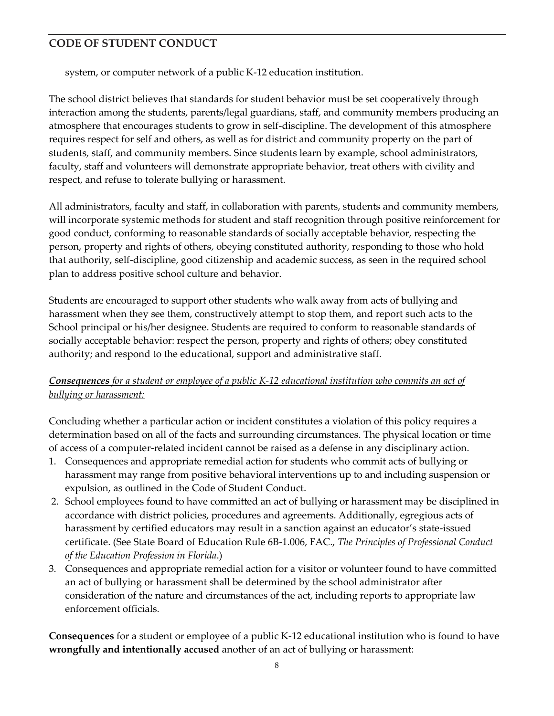system, or computer network of a public K-12 education institution.

The school district believes that standards for student behavior must be set cooperatively through interaction among the students, parents/legal guardians, staff, and community members producing an atmosphere that encourages students to grow in self-discipline. The development of this atmosphere requires respect for self and others, as well as for district and community property on the part of students, staff, and community members. Since students learn by example, school administrators, faculty, staff and volunteers will demonstrate appropriate behavior, treat others with civility and respect, and refuse to tolerate bullying or harassment.

All administrators, faculty and staff, in collaboration with parents, students and community members, will incorporate systemic methods for student and staff recognition through positive reinforcement for good conduct, conforming to reasonable standards of socially acceptable behavior, respecting the person, property and rights of others, obeying constituted authority, responding to those who hold that authority, self-discipline, good citizenship and academic success, as seen in the required school plan to address positive school culture and behavior.

Students are encouraged to support other students who walk away from acts of bullying and harassment when they see them, constructively attempt to stop them, and report such acts to the School principal or his/her designee. Students are required to conform to reasonable standards of socially acceptable behavior: respect the person, property and rights of others; obey constituted authority; and respond to the educational, support and administrative staff.

### *Consequences for a student or employee of a public K-12 educational institution who commits an act of bullying or harassment:*

Concluding whether a particular action or incident constitutes a violation of this policy requires a determination based on all of the facts and surrounding circumstances. The physical location or time of access of a computer-related incident cannot be raised as a defense in any disciplinary action.

- 1. Consequences and appropriate remedial action for students who commit acts of bullying or harassment may range from positive behavioral interventions up to and including suspension or expulsion, as outlined in the Code of Student Conduct.
- 2. School employees found to have committed an act of bullying or harassment may be disciplined in accordance with district policies, procedures and agreements. Additionally, egregious acts of harassment by certified educators may result in a sanction against an educator's state-issued certificate. (See State Board of Education Rule 6B-1.006, FAC., *The Principles of Professional Conduct of the Education Profession in Florida*.)
- 3. Consequences and appropriate remedial action for a visitor or volunteer found to have committed an act of bullying or harassment shall be determined by the school administrator after consideration of the nature and circumstances of the act, including reports to appropriate law enforcement officials.

**Consequences** for a student or employee of a public K-12 educational institution who is found to have **wrongfully and intentionally accused** another of an act of bullying or harassment: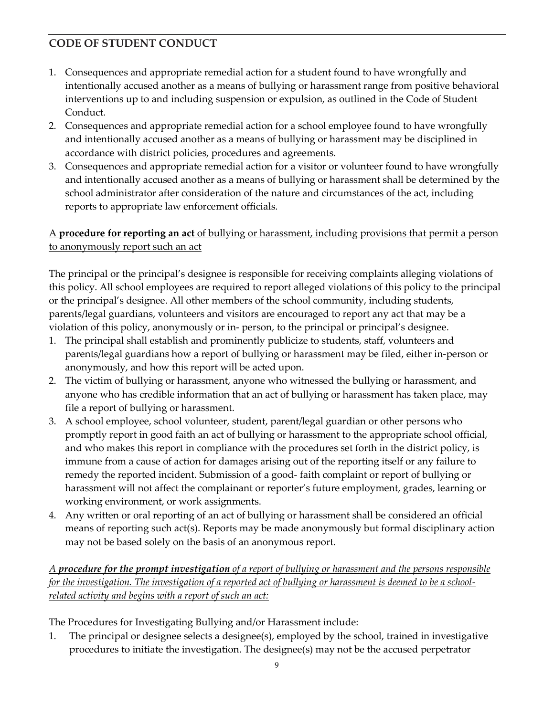- 1. Consequences and appropriate remedial action for a student found to have wrongfully and intentionally accused another as a means of bullying or harassment range from positive behavioral interventions up to and including suspension or expulsion, as outlined in the Code of Student Conduct.
- 2. Consequences and appropriate remedial action for a school employee found to have wrongfully and intentionally accused another as a means of bullying or harassment may be disciplined in accordance with district policies, procedures and agreements.
- 3. Consequences and appropriate remedial action for a visitor or volunteer found to have wrongfully and intentionally accused another as a means of bullying or harassment shall be determined by the school administrator after consideration of the nature and circumstances of the act, including reports to appropriate law enforcement officials.

### A **procedure for reporting an act** of bullying or harassment, including provisions that permit a person to anonymously report such an act

The principal or the principal's designee is responsible for receiving complaints alleging violations of this policy. All school employees are required to report alleged violations of this policy to the principal or the principal's designee. All other members of the school community, including students, parents/legal guardians, volunteers and visitors are encouraged to report any act that may be a violation of this policy, anonymously or in- person, to the principal or principal's designee.

- 1. The principal shall establish and prominently publicize to students, staff, volunteers and parents/legal guardians how a report of bullying or harassment may be filed, either in-person or anonymously, and how this report will be acted upon.
- 2. The victim of bullying or harassment, anyone who witnessed the bullying or harassment, and anyone who has credible information that an act of bullying or harassment has taken place, may file a report of bullying or harassment.
- 3. A school employee, school volunteer, student, parent/legal guardian or other persons who promptly report in good faith an act of bullying or harassment to the appropriate school official, and who makes this report in compliance with the procedures set forth in the district policy, is immune from a cause of action for damages arising out of the reporting itself or any failure to remedy the reported incident. Submission of a good- faith complaint or report of bullying or harassment will not affect the complainant or reporter's future employment, grades, learning or working environment, or work assignments.
- 4. Any written or oral reporting of an act of bullying or harassment shall be considered an official means of reporting such act(s). Reports may be made anonymously but formal disciplinary action may not be based solely on the basis of an anonymous report.

### *A procedure for the prompt investigation of a report of bullying or harassment and the persons responsible for the investigation. The investigation of a reported act of bullying or harassment is deemed to be a schoolrelated activity and begins with a report of such an act:*

The Procedures for Investigating Bullying and/or Harassment include:

1. The principal or designee selects a designee(s), employed by the school, trained in investigative procedures to initiate the investigation. The designee(s) may not be the accused perpetrator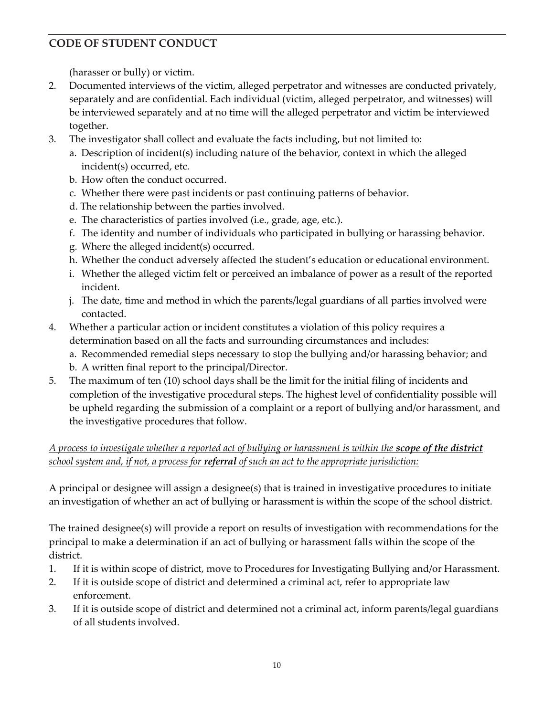(harasser or bully) or victim.

- 2. Documented interviews of the victim, alleged perpetrator and witnesses are conducted privately, separately and are confidential. Each individual (victim, alleged perpetrator, and witnesses) will be interviewed separately and at no time will the alleged perpetrator and victim be interviewed together.
- 3. The investigator shall collect and evaluate the facts including, but not limited to:
	- a. Description of incident(s) including nature of the behavior, context in which the alleged incident(s) occurred, etc.
	- b. How often the conduct occurred.
	- c. Whether there were past incidents or past continuing patterns of behavior.
	- d. The relationship between the parties involved.
	- e. The characteristics of parties involved (i.e., grade, age, etc.).
	- f. The identity and number of individuals who participated in bullying or harassing behavior.
	- g. Where the alleged incident(s) occurred.
	- h. Whether the conduct adversely affected the student's education or educational environment.
	- i. Whether the alleged victim felt or perceived an imbalance of power as a result of the reported incident.
	- j. The date, time and method in which the parents/legal guardians of all parties involved were contacted.
- 4. Whether a particular action or incident constitutes a violation of this policy requires a determination based on all the facts and surrounding circumstances and includes:
	- a. Recommended remedial steps necessary to stop the bullying and/or harassing behavior; and
	- b. A written final report to the principal/Director.
- 5. The maximum of ten (10) school days shall be the limit for the initial filing of incidents and completion of the investigative procedural steps. The highest level of confidentiality possible will be upheld regarding the submission of a complaint or a report of bullying and/or harassment, and the investigative procedures that follow.

### *A process to investigate whether a reported act of bullying or harassment is within the scope of the district school system and, if not, a process for referral of such an act to the appropriate jurisdiction:*

A principal or designee will assign a designee(s) that is trained in investigative procedures to initiate an investigation of whether an act of bullying or harassment is within the scope of the school district.

The trained designee(s) will provide a report on results of investigation with recommendations for the principal to make a determination if an act of bullying or harassment falls within the scope of the district.

- 1. If it is within scope of district, move to Procedures for Investigating Bullying and/or Harassment.
- 2. If it is outside scope of district and determined a criminal act, refer to appropriate law enforcement.
- 3. If it is outside scope of district and determined not a criminal act, inform parents/legal guardians of all students involved.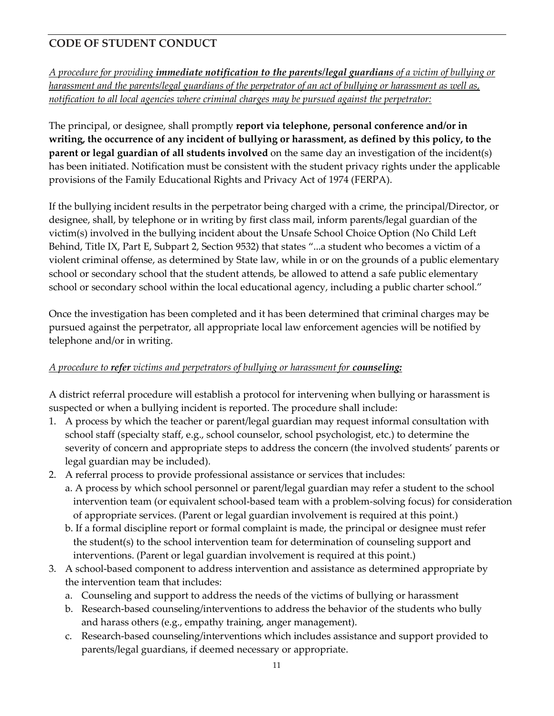*A procedure for providing immediate notification to the parents/legal guardians of a victim of bullying or harassment and the parents/legal guardians of the perpetrator of an act of bullying or harassment as well as, notification to all local agencies where criminal charges may be pursued against the perpetrator:* 

The principal, or designee, shall promptly **report via telephone, personal conference and/or in writing, the occurrence of any incident of bullying or harassment, as defined by this policy, to the parent or legal guardian of all students involved** on the same day an investigation of the incident(s) has been initiated. Notification must be consistent with the student privacy rights under the applicable provisions of the Family Educational Rights and Privacy Act of 1974 (FERPA).

If the bullying incident results in the perpetrator being charged with a crime, the principal/Director, or designee, shall, by telephone or in writing by first class mail, inform parents/legal guardian of the victim(s) involved in the bullying incident about the Unsafe School Choice Option (No Child Left Behind, Title IX, Part E, Subpart 2, Section 9532) that states "...a student who becomes a victim of a violent criminal offense, as determined by State law, while in or on the grounds of a public elementary school or secondary school that the student attends, be allowed to attend a safe public elementary school or secondary school within the local educational agency, including a public charter school."

Once the investigation has been completed and it has been determined that criminal charges may be pursued against the perpetrator, all appropriate local law enforcement agencies will be notified by telephone and/or in writing.

### *A procedure to refer victims and perpetrators of bullying or harassment for counseling:*

A district referral procedure will establish a protocol for intervening when bullying or harassment is suspected or when a bullying incident is reported. The procedure shall include:

- 1. A process by which the teacher or parent/legal guardian may request informal consultation with school staff (specialty staff, e.g., school counselor, school psychologist, etc.) to determine the severity of concern and appropriate steps to address the concern (the involved students' parents or legal guardian may be included).
- 2. A referral process to provide professional assistance or services that includes:
	- a. A process by which school personnel or parent/legal guardian may refer a student to the school intervention team (or equivalent school-based team with a problem-solving focus) for consideration of appropriate services. (Parent or legal guardian involvement is required at this point.)
		- b. If a formal discipline report or formal complaint is made, the principal or designee must refer the student(s) to the school intervention team for determination of counseling support and interventions. (Parent or legal guardian involvement is required at this point.)
- 3. A school-based component to address intervention and assistance as determined appropriate by the intervention team that includes:
	- a. Counseling and support to address the needs of the victims of bullying or harassment
	- b. Research-based counseling/interventions to address the behavior of the students who bully and harass others (e.g., empathy training, anger management).
	- c. Research-based counseling/interventions which includes assistance and support provided to parents/legal guardians, if deemed necessary or appropriate.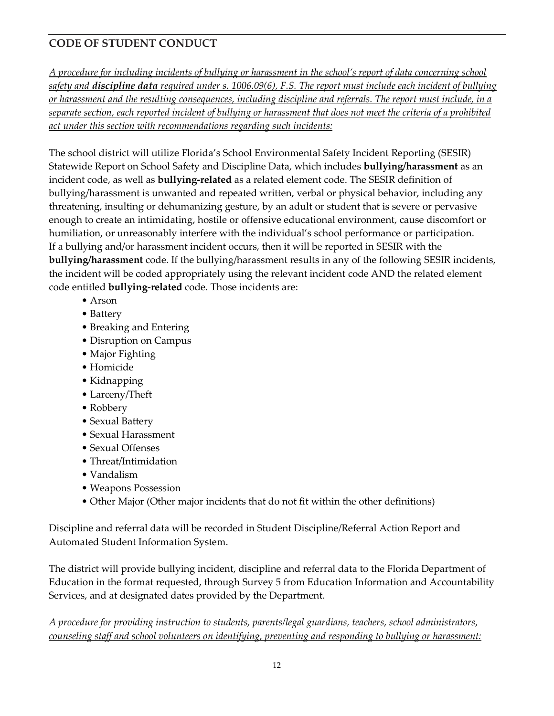*A procedure for including incidents of bullying or harassment in the school's report of data concerning school safety and discipline data required under s. 1006.09(6), F.S. The report must include each incident of bullying or harassment and the resulting consequences, including discipline and referrals. The report must include, in a separate section, each reported incident of bullying or harassment that does not meet the criteria of a prohibited act under this section with recommendations regarding such incidents:* 

The school district will utilize Florida's School Environmental Safety Incident Reporting (SESIR) Statewide Report on School Safety and Discipline Data, which includes **bullying/harassment** as an incident code, as well as **bullying-related** as a related element code. The SESIR definition of bullying/harassment is unwanted and repeated written, verbal or physical behavior, including any threatening, insulting or dehumanizing gesture, by an adult or student that is severe or pervasive enough to create an intimidating, hostile or offensive educational environment, cause discomfort or humiliation, or unreasonably interfere with the individual's school performance or participation. If a bullying and/or harassment incident occurs, then it will be reported in SESIR with the **bullying/harassment** code. If the bullying/harassment results in any of the following SESIR incidents, the incident will be coded appropriately using the relevant incident code AND the related element code entitled **bullying-related** code. Those incidents are:

- Arson
- Battery
- Breaking and Entering
- Disruption on Campus
- Major Fighting
- Homicide
- Kidnapping
- Larceny/Theft
- Robbery
- Sexual Battery
- Sexual Harassment
- Sexual Offenses
- Threat/Intimidation
- Vandalism
- Weapons Possession
- Other Major (Other major incidents that do not fit within the other definitions)

Discipline and referral data will be recorded in Student Discipline/Referral Action Report and Automated Student Information System.

The district will provide bullying incident, discipline and referral data to the Florida Department of Education in the format requested, through Survey 5 from Education Information and Accountability Services, and at designated dates provided by the Department.

*A procedure for providing instruction to students, parents/legal guardians, teachers, school administrators, counseling staff and school volunteers on identifying, preventing and responding to bullying or harassment:*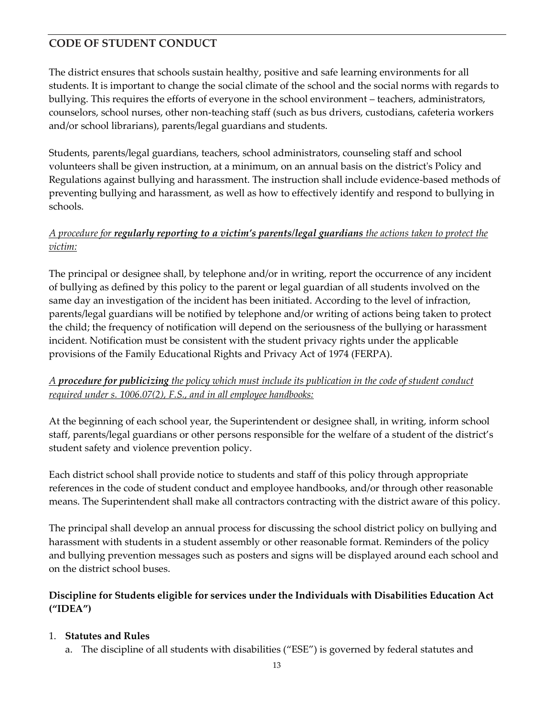The district ensures that schools sustain healthy, positive and safe learning environments for all students. It is important to change the social climate of the school and the social norms with regards to bullying. This requires the efforts of everyone in the school environment – teachers, administrators, counselors, school nurses, other non-teaching staff (such as bus drivers, custodians, cafeteria workers and/or school librarians), parents/legal guardians and students.

Students, parents/legal guardians, teachers, school administrators, counseling staff and school volunteers shall be given instruction, at a minimum, on an annual basis on the district's Policy and Regulations against bullying and harassment. The instruction shall include evidence-based methods of preventing bullying and harassment, as well as how to effectively identify and respond to bullying in schools.

### *A procedure for regularly reporting to a victim's parents/legal guardians the actions taken to protect the victim:*

The principal or designee shall, by telephone and/or in writing, report the occurrence of any incident of bullying as defined by this policy to the parent or legal guardian of all students involved on the same day an investigation of the incident has been initiated. According to the level of infraction, parents/legal guardians will be notified by telephone and/or writing of actions being taken to protect the child; the frequency of notification will depend on the seriousness of the bullying or harassment incident. Notification must be consistent with the student privacy rights under the applicable provisions of the Family Educational Rights and Privacy Act of 1974 (FERPA).

### *A procedure for publicizing the policy which must include its publication in the code of student conduct required under s. 1006.07(2), F.S., and in all employee handbooks:*

At the beginning of each school year, the Superintendent or designee shall, in writing, inform school staff, parents/legal guardians or other persons responsible for the welfare of a student of the district's student safety and violence prevention policy.

Each district school shall provide notice to students and staff of this policy through appropriate references in the code of student conduct and employee handbooks, and/or through other reasonable means. The Superintendent shall make all contractors contracting with the district aware of this policy.

The principal shall develop an annual process for discussing the school district policy on bullying and harassment with students in a student assembly or other reasonable format. Reminders of the policy and bullying prevention messages such as posters and signs will be displayed around each school and on the district school buses.

### **Discipline for Students eligible for services under the Individuals with Disabilities Education Act ("IDEA")**

### 1. **Statutes and Rules**

a. The discipline of all students with disabilities ("ESE") is governed by federal statutes and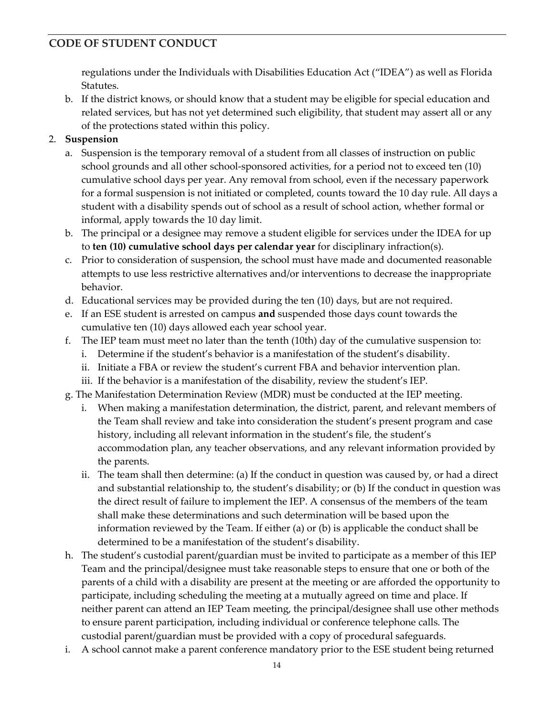regulations under the Individuals with Disabilities Education Act ("IDEA") as well as Florida Statutes.

- b. If the district knows, or should know that a student may be eligible for special education and related services, but has not yet determined such eligibility, that student may assert all or any of the protections stated within this policy.
- 2. **Suspension** 
	- a. Suspension is the temporary removal of a student from all classes of instruction on public school grounds and all other school‐sponsored activities, for a period not to exceed ten (10) cumulative school days per year. Any removal from school, even if the necessary paperwork for a formal suspension is not initiated or completed, counts toward the 10 day rule. All days a student with a disability spends out of school as a result of school action, whether formal or informal, apply towards the 10 day limit.
	- b. The principal or a designee may remove a student eligible for services under the IDEA for up to **ten (10) cumulative school days per calendar year** for disciplinary infraction(s).
	- c. Prior to consideration of suspension, the school must have made and documented reasonable attempts to use less restrictive alternatives and/or interventions to decrease the inappropriate behavior.
	- d. Educational services may be provided during the ten (10) days, but are not required.
	- e. If an ESE student is arrested on campus **and** suspended those days count towards the cumulative ten (10) days allowed each year school year.
	- f. The IEP team must meet no later than the tenth (10th) day of the cumulative suspension to:
		- i. Determine if the student's behavior is a manifestation of the student's disability.
		- ii. Initiate a FBA or review the student's current FBA and behavior intervention plan.
		- iii. If the behavior is a manifestation of the disability, review the student's IEP.
	- g. The Manifestation Determination Review (MDR) must be conducted at the IEP meeting.
		- i. When making a manifestation determination, the district, parent, and relevant members of the Team shall review and take into consideration the student's present program and case history, including all relevant information in the student's file, the student's accommodation plan, any teacher observations, and any relevant information provided by the parents.
		- ii. The team shall then determine: (a) If the conduct in question was caused by, or had a direct and substantial relationship to, the student's disability; or (b) If the conduct in question was the direct result of failure to implement the IEP. A consensus of the members of the team shall make these determinations and such determination will be based upon the information reviewed by the Team. If either (a) or (b) is applicable the conduct shall be determined to be a manifestation of the student's disability.
	- h. The student's custodial parent/guardian must be invited to participate as a member of this IEP Team and the principal/designee must take reasonable steps to ensure that one or both of the parents of a child with a disability are present at the meeting or are afforded the opportunity to participate, including scheduling the meeting at a mutually agreed on time and place. If neither parent can attend an IEP Team meeting, the principal/designee shall use other methods to ensure parent participation, including individual or conference telephone calls. The custodial parent/guardian must be provided with a copy of procedural safeguards.
	- i. A school cannot make a parent conference mandatory prior to the ESE student being returned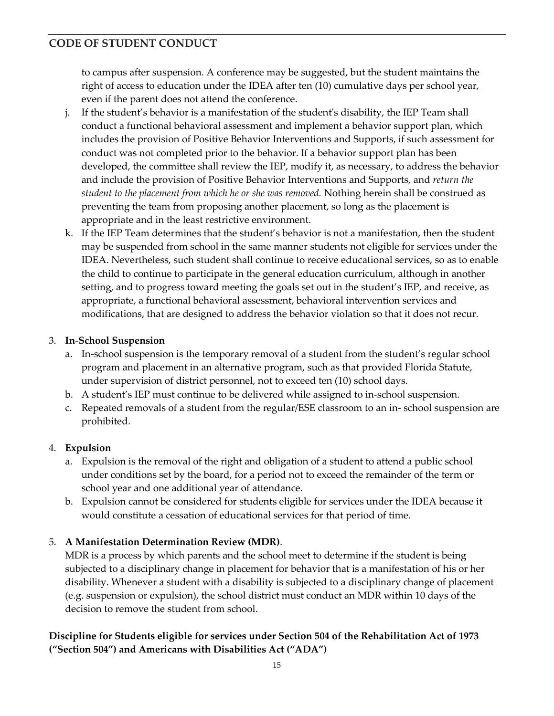to campus after suspension. A conference may be suggested, but the student maintains the right of access to education under the IDEA after ten (10) cumulative days per school year, even if the parent does not attend the conference.

- j. If the student's behavior is a manifestation of the student's disability, the IEP Team shall conduct a functional behavioral assessment and implement a behavior support plan, which includes the provision of Positive Behavior Interventions and Supports, if such assessment for conduct was not completed prior to the behavior. If a behavior support plan has been developed, the committee shall review the IEP, modify it, as necessary, to address the behavior and include the provision of Positive Behavior Interventions and Supports, and *return the student to the placement from which he or she was removed.* Nothing herein shall be construed as preventing the team from proposing another placement, so long as the placement is appropriate and in the least restrictive environment.
- k. If the IEP Team determines that the student's behavior is not a manifestation, then the student may be suspended from school in the same manner students not eligible for services under the IDEA. Nevertheless, such student shall continue to receive educational services, so as to enable the child to continue to participate in the general education curriculum, although in another setting, and to progress toward meeting the goals set out in the student's IEP, and receive, as appropriate, a functional behavioral assessment, behavioral intervention services and modifications, that are designed to address the behavior violation so that it does not recur.

### 3. **In**‐**School Suspension**

- a. In‐school suspension is the temporary removal of a student from the student's regular school program and placement in an alternative program, such as that provided Florida Statute, under supervision of district personnel, not to exceed ten (10) school days.
- b. A student's IEP must continue to be delivered while assigned to in‐school suspension.
- c. Repeated removals of a student from the regular/ESE classroom to an in‐ school suspension are prohibited.

### 4. **Expulsion**

- a. Expulsion is the removal of the right and obligation of a student to attend a public school under conditions set by the board, for a period not to exceed the remainder of the term or school year and one additional year of attendance.
- b. Expulsion cannot be considered for students eligible for services under the IDEA because it would constitute a cessation of educational services for that period of time.

## 5. **A Manifestation Determination Review (MDR)**.

MDR is a process by which parents and the school meet to determine if the student is being subjected to a disciplinary change in placement for behavior that is a manifestation of his or her disability. Whenever a student with a disability is subjected to a disciplinary change of placement (e.g. suspension or expulsion), the school district must conduct an MDR within 10 days of the decision to remove the student from school.

### **Discipline for Students eligible for services under Section 504 of the Rehabilitation Act of 1973 ("Section 504") and Americans with Disabilities Act ("ADA")**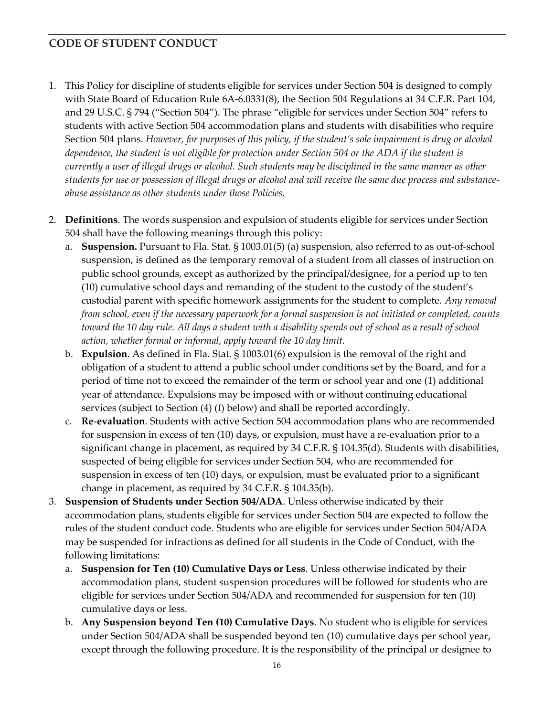- 1. This Policy for discipline of students eligible for services under Section 504 is designed to comply with State Board of Education Rule 6A‐6.0331(8), the Section 504 Regulations at 34 C.F.R. Part 104, and 29 U.S.C. § 794 ("Section 504"). The phrase "eligible for services under Section 504" refers to students with active Section 504 accommodation plans and students with disabilities who require Section 504 plans. *However, for purposes of this policy, if the student's sole impairment is drug or alcohol dependence, the student is not eligible for protection under Section 504 or the ADA if the student is currently a user of illegal drugs or alcohol. Such students may be disciplined in the same manner as other students for use or possession of illegal drugs or alcohol and will receive the same due process and substance*‐ *abuse assistance as other students under those Policies.*
- 2. **Definitions**. The words suspension and expulsion of students eligible for services under Section 504 shall have the following meanings through this policy:
	- a. **Suspension.** Pursuant to Fla. Stat. § 1003.01(5) (a) suspension, also referred to as out‐of‐school suspension, is defined as the temporary removal of a student from all classes of instruction on public school grounds, except as authorized by the principal/designee, for a period up to ten (10) cumulative school days and remanding of the student to the custody of the student's custodial parent with specific homework assignments for the student to complete. *Any removal from school, even if the necessary paperwork for a formal suspension is not initiated or completed, counts toward the 10 day rule. All days a student with a disability spends out of school as a result of school action, whether formal or informal, apply toward the 10 day limit.*
	- b. **Expulsion**. As defined in Fla. Stat. § 1003.01(6) expulsion is the removal of the right and obligation of a student to attend a public school under conditions set by the Board, and for a period of time not to exceed the remainder of the term or school year and one (1) additional year of attendance. Expulsions may be imposed with or without continuing educational services (subject to Section (4) (f) below) and shall be reported accordingly.
	- c. **Re**‐**evaluation**. Students with active Section 504 accommodation plans who are recommended for suspension in excess of ten (10) days, or expulsion, must have a re-evaluation prior to a significant change in placement, as required by 34 C.F.R. § 104.35(d). Students with disabilities, suspected of being eligible for services under Section 504, who are recommended for suspension in excess of ten (10) days, or expulsion, must be evaluated prior to a significant change in placement, as required by 34 C.F.R. § 104.35(b).
- 3. **Suspension of Students under Section 504/ADA**. Unless otherwise indicated by their accommodation plans, students eligible for services under Section 504 are expected to follow the rules of the student conduct code. Students who are eligible for services under Section 504/ADA may be suspended for infractions as defined for all students in the Code of Conduct, with the following limitations:
	- a. **Suspension for Ten (10) Cumulative Days or Less**. Unless otherwise indicated by their accommodation plans, student suspension procedures will be followed for students who are eligible for services under Section 504/ADA and recommended for suspension for ten (10) cumulative days or less.
	- b. **Any Suspension beyond Ten (10) Cumulative Days**. No student who is eligible for services under Section 504/ADA shall be suspended beyond ten (10) cumulative days per school year, except through the following procedure. It is the responsibility of the principal or designee to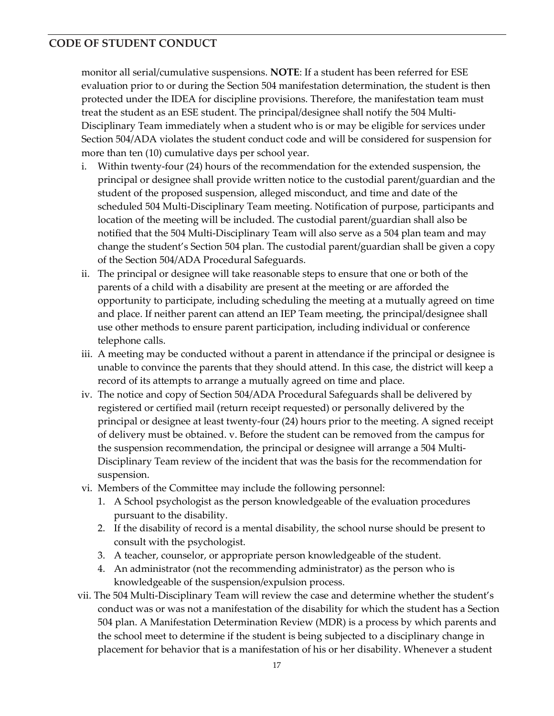monitor all serial/cumulative suspensions. **NOTE**: If a student has been referred for ESE evaluation prior to or during the Section 504 manifestation determination, the student is then protected under the IDEA for discipline provisions. Therefore, the manifestation team must treat the student as an ESE student. The principal/designee shall notify the 504 Multi‐ Disciplinary Team immediately when a student who is or may be eligible for services under Section 504/ADA violates the student conduct code and will be considered for suspension for more than ten (10) cumulative days per school year.

- i. Within twenty‐four (24) hours of the recommendation for the extended suspension, the principal or designee shall provide written notice to the custodial parent/guardian and the student of the proposed suspension, alleged misconduct, and time and date of the scheduled 504 Multi‐Disciplinary Team meeting. Notification of purpose, participants and location of the meeting will be included. The custodial parent/guardian shall also be notified that the 504 Multi‐Disciplinary Team will also serve as a 504 plan team and may change the student's Section 504 plan. The custodial parent/guardian shall be given a copy of the Section 504/ADA Procedural Safeguards.
- ii. The principal or designee will take reasonable steps to ensure that one or both of the parents of a child with a disability are present at the meeting or are afforded the opportunity to participate, including scheduling the meeting at a mutually agreed on time and place. If neither parent can attend an IEP Team meeting, the principal/designee shall use other methods to ensure parent participation, including individual or conference telephone calls.
- iii. A meeting may be conducted without a parent in attendance if the principal or designee is unable to convince the parents that they should attend. In this case, the district will keep a record of its attempts to arrange a mutually agreed on time and place.
- iv. The notice and copy of Section 504/ADA Procedural Safeguards shall be delivered by registered or certified mail (return receipt requested) or personally delivered by the principal or designee at least twenty‐four (24) hours prior to the meeting. A signed receipt of delivery must be obtained. v. Before the student can be removed from the campus for the suspension recommendation, the principal or designee will arrange a 504 Multi-Disciplinary Team review of the incident that was the basis for the recommendation for suspension.
- vi. Members of the Committee may include the following personnel:
	- 1. A School psychologist as the person knowledgeable of the evaluation procedures pursuant to the disability.
	- 2. If the disability of record is a mental disability, the school nurse should be present to consult with the psychologist.
	- 3. A teacher, counselor, or appropriate person knowledgeable of the student.
	- 4. An administrator (not the recommending administrator) as the person who is knowledgeable of the suspension/expulsion process.
- vii. The 504 Multi‐Disciplinary Team will review the case and determine whether the student's conduct was or was not a manifestation of the disability for which the student has a Section 504 plan. A Manifestation Determination Review (MDR) is a process by which parents and the school meet to determine if the student is being subjected to a disciplinary change in placement for behavior that is a manifestation of his or her disability. Whenever a student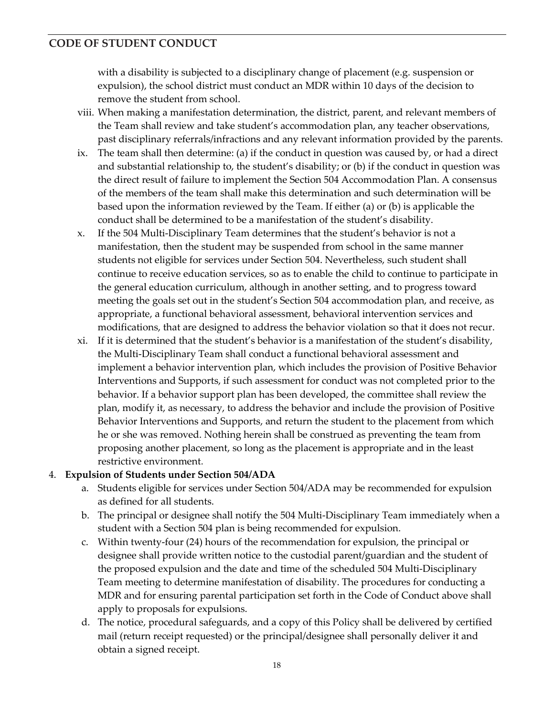with a disability is subjected to a disciplinary change of placement (e.g. suspension or expulsion), the school district must conduct an MDR within 10 days of the decision to remove the student from school.

- viii. When making a manifestation determination, the district, parent, and relevant members of the Team shall review and take student's accommodation plan, any teacher observations, past disciplinary referrals/infractions and any relevant information provided by the parents.
- ix. The team shall then determine: (a) if the conduct in question was caused by, or had a direct and substantial relationship to, the student's disability; or (b) if the conduct in question was the direct result of failure to implement the Section 504 Accommodation Plan. A consensus of the members of the team shall make this determination and such determination will be based upon the information reviewed by the Team. If either (a) or (b) is applicable the conduct shall be determined to be a manifestation of the student's disability.
- x. If the 504 Multi‐Disciplinary Team determines that the student's behavior is not a manifestation, then the student may be suspended from school in the same manner students not eligible for services under Section 504. Nevertheless, such student shall continue to receive education services, so as to enable the child to continue to participate in the general education curriculum, although in another setting, and to progress toward meeting the goals set out in the student's Section 504 accommodation plan, and receive, as appropriate, a functional behavioral assessment, behavioral intervention services and modifications, that are designed to address the behavior violation so that it does not recur.
- xi. If it is determined that the student's behavior is a manifestation of the student's disability, the Multi‐Disciplinary Team shall conduct a functional behavioral assessment and implement a behavior intervention plan, which includes the provision of Positive Behavior Interventions and Supports, if such assessment for conduct was not completed prior to the behavior. If a behavior support plan has been developed, the committee shall review the plan, modify it, as necessary, to address the behavior and include the provision of Positive Behavior Interventions and Supports, and return the student to the placement from which he or she was removed. Nothing herein shall be construed as preventing the team from proposing another placement, so long as the placement is appropriate and in the least restrictive environment*.*

#### 4. **Expulsion of Students under Section 504/ADA**

- a. Students eligible for services under Section 504/ADA may be recommended for expulsion as defined for all students.
- b. The principal or designee shall notify the 504 Multi‐Disciplinary Team immediately when a student with a Section 504 plan is being recommended for expulsion.
- c. Within twenty‐four (24) hours of the recommendation for expulsion, the principal or designee shall provide written notice to the custodial parent/guardian and the student of the proposed expulsion and the date and time of the scheduled 504 Multi‐Disciplinary Team meeting to determine manifestation of disability. The procedures for conducting a MDR and for ensuring parental participation set forth in the Code of Conduct above shall apply to proposals for expulsions.
- d. The notice, procedural safeguards, and a copy of this Policy shall be delivered by certified mail (return receipt requested) or the principal/designee shall personally deliver it and obtain a signed receipt.